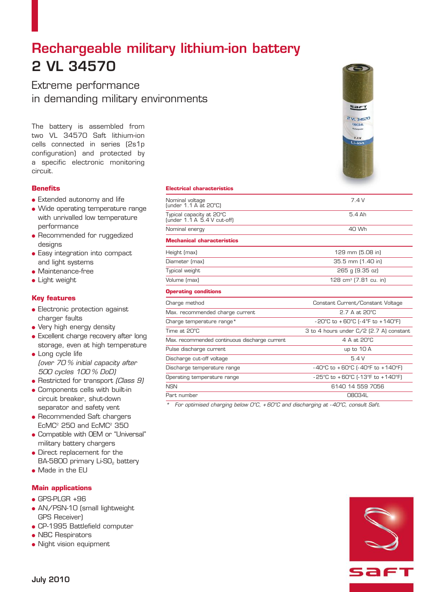# Rechargeable military lithium-ion battery 2 VL 34570

Extreme performance in demanding military environments

The battery is assembled from two VL 34570 Saft lithium-ion cells connected in series (2s1p configuration) and protected by a specific electronic monitoring circuit.

## **Benefits**

- **.** Extended autonomy and life
- Wide operating temperature range with unrivalled low temperature performance
- Recommended for ruggedized designs
- **.** Easy integration into compact and light systems
- $\bullet$  Maintenance-free
- $\bullet$  Light weight

## **Key features**

- **Electronic protection against** charger faults
- Very high energy density
- Excellent charge recovery after long storage, even at high temperature
- Long cycle life (over 70 % initial capacity after 500 cycles 100 % DoD)
- Restricted for transport (Class 9)
- Components cells with built-in circuit breaker, shut-down separator and safety vent
- Recommended Saft chargers  $ECMC<sup>2</sup>$  250 and  $ECMC<sup>2</sup>$  350
- Compatible with OEM or "Universal" military battery chargers
- **.** Direct replacement for the BA-5800 primary Li-S0<sub>2</sub> battery
- $\bullet$  Made in the EU

## **Main applications**

- $\bullet$  GPS-PLGR +96
- AN/PSN-10 (small lightweight GPS Receiver)
- CP-1995 Battlefield computer
- NBC Respirators
- Night vision equipment

#### **Electrical characteristics**

| Nominal voltage<br>(under 1.1 A at 20°C)                | 7.4V                                                                      |
|---------------------------------------------------------|---------------------------------------------------------------------------|
| Typical capacity at 20°C<br>(under 1.1 A 5.4 V cut-off) | 54 Ah                                                                     |
| Nominal energy                                          | 40 Wh                                                                     |
| <b>Mechanical characteristics</b>                       |                                                                           |
| Height (max)                                            | 129 mm (5.08 in)                                                          |
| Diameter (max)                                          | 35.5 mm (1.40 in)                                                         |
| Typical weight                                          | 265 g (9.35 oz)                                                           |
| Volume (max)                                            | 128 cm <sup>3</sup> [7.81 cu. in]                                         |
| <b>Operating conditions</b>                             |                                                                           |
| Charge method                                           | Constant Current/Constant Voltage                                         |
| Max. recommended charge current                         | 2.7 A at 20°C                                                             |
| Charge temperature range*                               | - 20°C to +60°C (-4°F to +140°F)                                          |
| Time at 20°C                                            | 3 to 4 hours under C/2 (2.7 A) constant                                   |
| Max. recommended continuous discharge current           | 4 A at 20°C                                                               |
| Pulse discharge current                                 | up to 10 A                                                                |
| Discharge cut-off voltage                               | 54V                                                                       |
| Discharge temperature range                             | -40°C to +60°C $[-40°$ F to +140°F)                                       |
| Operating temperature range                             | $-25^{\circ}$ C to $+60^{\circ}$ C ( $-13^{\circ}$ F to $+140^{\circ}$ F) |
| <b>NSN</b>                                              | 6140 14 559 7056                                                          |
| Part number                                             | 08034L                                                                    |
|                                                         |                                                                           |

\* For optimised charging below  $O^{\circ}C$ , + 60 $^{\circ}C$  and discharging at -40 $^{\circ}C$ , consult Saft.